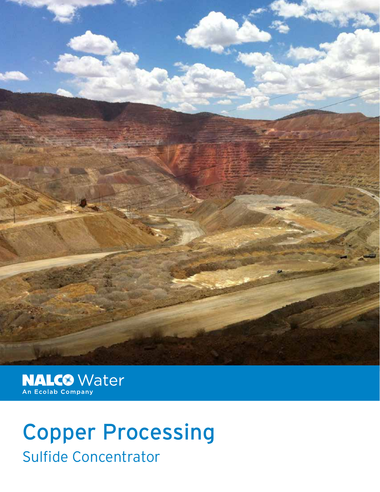

MALCO Water

## Copper Processing Sulfide Concentrator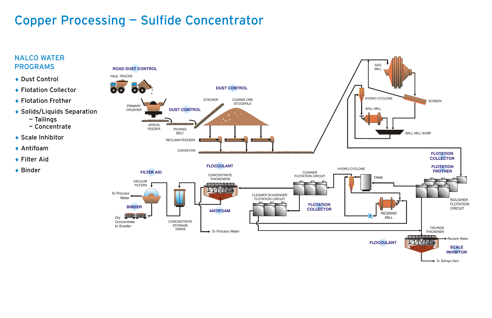## Copper Processing — Sulfide Concentrator **Copper Processing –** Sulfide Concentrator